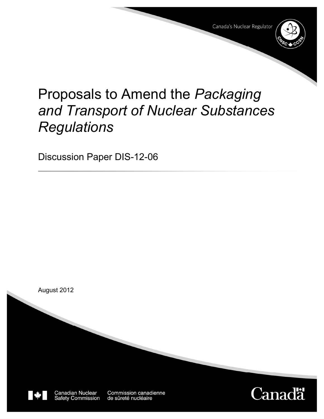

# Proposals to Amend the *Packaging and Transport of Nuclear Substances Regulations*

Discussion Paper DIS-12-06





Canadian Nuclear **Safety Commission**  Commission canadienne de sûreté nucléaire

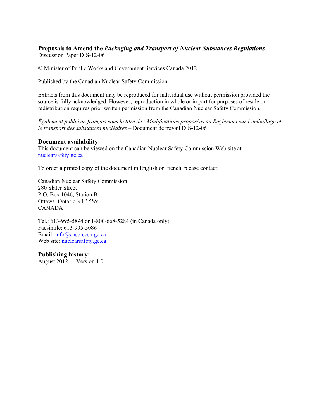# **Proposals to Amend the** *Packaging and Transport of Nuclear Substances Regulations* Discussion Paper DIS-12-06

© Minister of Public Works and Government Services Canada 2012

Published by the Canadian Nuclear Safety Commission

Extracts from this document may be reproduced for individual use without permission provided the source is fully acknowledged. However, reproduction in whole or in part for purposes of resale or redistribution requires prior written permission from the Canadian Nuclear Safety Commission.

*Également publié en français sous le titre de : Modifications proposées au Règlement sur l'emballage et le transport des substances nucléaires –* Document de travail DIS-12-06

#### **Document availability**

This document can be viewed on the Canadian Nuclear Safety Commission Web site at [nuclearsafety.gc.ca](http://www.nuclearsafety.gc.ca/)

To order a printed copy of the document in English or French, please contact:

Canadian Nuclear Safety Commission 280 Slater Street P.O. Box 1046, Station B Ottawa, Ontario K1P 5S9 CANADA

Tel.: 613-995-5894 or 1-800-668-5284 (in Canada only) Facsimile: 613-995-5086 Email: [info@cnsc-ccsn.gc.ca](mailto:info@cnsc-ccsn.gc.ca) Web site: [nuclearsafety.gc.ca](http://www.nuclearsafety.gc.ca/)

#### **Publishing history:**

August 2012 Version 1.0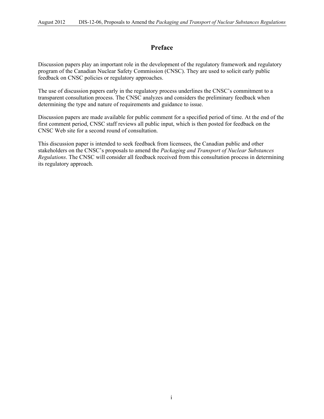# **Preface**

Discussion papers play an important role in the development of the regulatory framework and regulatory program of the Canadian Nuclear Safety Commission (CNSC). They are used to solicit early public feedback on CNSC policies or regulatory approaches.

The use of discussion papers early in the regulatory process underlines the CNSC's commitment to a transparent consultation process. The CNSC analyzes and considers the preliminary feedback when determining the type and nature of requirements and guidance to issue.

Discussion papers are made available for public comment for a specified period of time. At the end of the first comment period, CNSC staff reviews all public input, which is then posted for feedback on the CNSC Web site for a second round of consultation.

This discussion paper is intended to seek feedback from licensees, the Canadian public and other stakeholders on the CNSC's proposals to amend the *Packaging and Transport of Nuclear Substances Regulations*. The CNSC will consider all feedback received from this consultation process in determining its regulatory approach.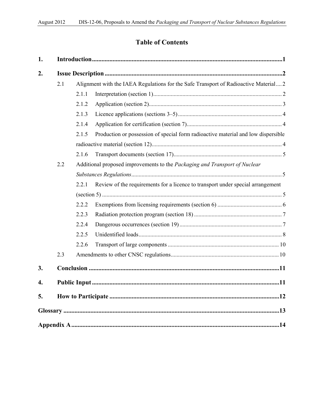# **Table of Contents**

| 1. |     |                                                                            |                                                                                      |  |  |
|----|-----|----------------------------------------------------------------------------|--------------------------------------------------------------------------------------|--|--|
| 2. |     |                                                                            |                                                                                      |  |  |
|    | 2.1 |                                                                            | Alignment with the IAEA Regulations for the Safe Transport of Radioactive Material 2 |  |  |
|    |     | 2.1.1                                                                      |                                                                                      |  |  |
|    |     | 2.1.2                                                                      |                                                                                      |  |  |
|    |     | 2.1.3                                                                      |                                                                                      |  |  |
|    |     | 2.1.4                                                                      |                                                                                      |  |  |
|    |     | 2.1.5                                                                      | Production or possession of special form radioactive material and low dispersible    |  |  |
|    |     |                                                                            |                                                                                      |  |  |
|    |     | 2.1.6                                                                      |                                                                                      |  |  |
|    | 2.2 | Additional proposed improvements to the Packaging and Transport of Nuclear |                                                                                      |  |  |
|    |     |                                                                            |                                                                                      |  |  |
|    |     | 2.2.1                                                                      | Review of the requirements for a licence to transport under special arrangement      |  |  |
|    |     |                                                                            |                                                                                      |  |  |
|    |     | 2.2.2                                                                      |                                                                                      |  |  |
|    |     | 2.2.3                                                                      |                                                                                      |  |  |
|    |     | 2.2.4                                                                      |                                                                                      |  |  |
|    |     | 2.2.5                                                                      |                                                                                      |  |  |
|    |     | 2.2.6                                                                      |                                                                                      |  |  |
|    | 2.3 |                                                                            |                                                                                      |  |  |
| 3. |     |                                                                            |                                                                                      |  |  |
| 4. |     |                                                                            |                                                                                      |  |  |
| 5. |     |                                                                            |                                                                                      |  |  |
|    |     |                                                                            |                                                                                      |  |  |
|    |     |                                                                            |                                                                                      |  |  |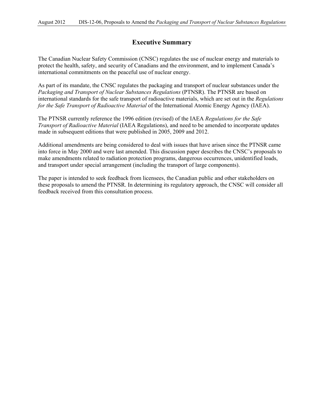# **Executive Summary**

The Canadian Nuclear Safety Commission (CNSC) regulates the use of nuclear energy and materials to protect the health, safety, and security of Canadians and the environment, and to implement Canada's international commitments on the peaceful use of nuclear energy.

As part of its mandate, the CNSC regulates the packaging and transport of nuclear substances under the *Packaging and Transport of Nuclear Substances Regulations* (PTNSR). The PTNSR are based on international standards for the safe transport of radioactive materials, which are set out in the *Regulations for the Safe Transport of Radioactive Material* of the International Atomic Energy Agency (IAEA).

The PTNSR currently reference the 1996 edition (revised) of the IAEA *Regulations for the Safe Transport of Radioactive Material* (IAEA Regulations), and need to be amended to incorporate updates made in subsequent editions that were published in 2005, 2009 and 2012.

Additional amendments are being considered to deal with issues that have arisen since the PTNSR came into force in May 2000 and were last amended. This discussion paper describes the CNSC's proposals to make amendments related to radiation protection programs, dangerous occurrences, unidentified loads, and transport under special arrangement (including the transport of large components).

The paper is intended to seek feedback from licensees, the Canadian public and other stakeholders on these proposals to amend the PTNSR. In determining its regulatory approach, the CNSC will consider all feedback received from this consultation process.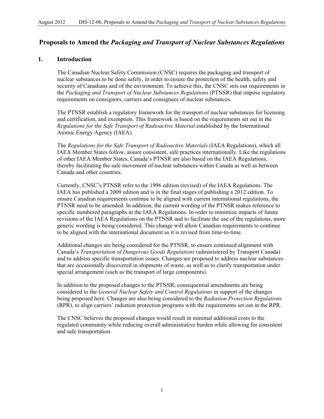# <span id="page-6-0"></span>**Proposals to Amend the** *Packaging and Transport of Nuclear Substances Regulations*

# **1. Introduction**

The Canadian Nuclear Safety Commission (CNSC) requires the packaging and transport of nuclear substances to be done safely, in order to ensure the protection of the health, safety and security of Canadians and of the environment. To achieve this, the CNSC sets out requirements in the *Packaging and Transport of Nuclear Substances Regulations* (PTNSR) that impose regulatory requirements on consignors, carriers and consignees of nuclear substances.

The PTNSR establish a regulatory framework for the transport of nuclear substances for licensing and certification, and exemption. This framework is based on the requirements set out in the *Regulations for the Safe Transport of Radioactive Material* established by the International Atomic Energy Agency (IAEA).

The *Regulations for the Safe Transport of Radioactive Materials* (IAEA Regulations), which all IAEA Member States follow, assure consistent, safe practices internationally. Like the regulations of other IAEA Member States, Canada's PTNSR are also based on the IAEA Regulations, thereby facilitating the safe movement of nuclear substances within Canada as well as between Canada and other countries.

Currently, CNSC's PTNSR refer to the 1996 edition (revised) of the IAEA Regulations. The IAEA has published a 2009 edition and is in the final stages of publishing a 2012 edition. To ensure Canadian requirements continue to be aligned with current international regulations, the PTNSR need to be amended. In addition, the current wording of the PTNSR makes reference to specific numbered paragraphs in the IAEA Regulations. In order to minimize impacts of future revisions of the IAEA Regulations on the PTNSR and to facilitate the use of the regulations, more generic wording is being considered. This change will allow Canadian requirements to continue to be aligned with the international document as it is revised from time-to-time.

Additional changes are being considered for the PTNSR, to ensure continued alignment with Canada's *Transportation of Dangerous Goods Regulations* (administered by Transport Canada) and to address specific transportation issues. Changes are proposed to address nuclear substances that are occasionally discovered in shipments of waste, as well as to clarify transportation under special arrangement (such as the transport of large components).

In addition to the proposed changes to the PTNSR, consequential amendments are being considered to the *General Nuclear Safety and Control Regulations* in support of the changes being proposed here. Changes are also being considered to the *Radiation Protection Regulations*  (RPR), to align carriers' radiation protection programs with the requirements set out in the RPR.

The CNSC believes the proposed changes would result in minimal additional costs to the regulated community while reducing overall administrative burden while allowing for consistent and safe transportation.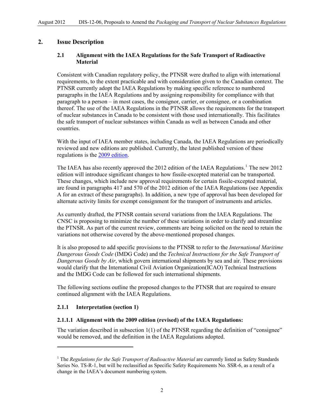# <span id="page-7-0"></span>**2. Issue Description**

#### **2.1 Alignment with the IAEA Regulations for the Safe Transport of Radioactive Material**

Consistent with Canadian regulatory policy, the PTNSR were drafted to align with international requirements, to the extent practicable and with consideration given to the Canadian context. The PTNSR currently adopt the IAEA Regulations by making specific reference to numbered paragraphs in the IAEA Regulations and by assigning responsibility for compliance with that paragraph to a person – in most cases, the consignor, carrier, or consignee, or a combination thereof. The use of the IAEA Regulations in the PTNSR allows the requirements for the transport of nuclear substances in Canada to be consistent with those used internationally. This facilitates the safe transport of nuclear substances within Canada as well as between Canada and other countries.

With the input of IAEA member states, including Canada, the IAEA Regulations are periodically reviewed and new editions are published. Currently, the latest published version of these regulations is the [2009 edition](http://www-ns.iaea.org/tech-areas/radiation-safety/transport.asp#tsr1).

The IAEA has also recently approved the 20[1](#page-7-1)2 edition of the IAEA Regulations.<sup>1</sup> The new 2012 edition will introduce significant changes to how fissile-excepted material can be transported. These changes, which include new approval requirements for certain fissile-excepted material, are found in paragraphs 417 and 570 of the 2012 edition of the IAEA Regulations (see Appendix A for an extract of these paragraphs). In addition, a new type of approval has been developed for alternate activity limits for exempt consignment for the transport of instruments and articles.

As currently drafted, the PTNSR contain several variations from the IAEA Regulations. The CNSC is proposing to minimize the number of these variations in order to clarify and streamline the PTNSR. As part of the current review, comments are being solicited on the need to retain the variations not otherwise covered by the above-mentioned proposed changes.

It is also proposed to add specific provisions to the PTNSR to refer to the *International Maritime Dangerous Goods Code* (IMDG Code) and the *Technical Instructions for the Safe Transport of Dangerous Goods by Air*, which govern international shipments by sea and air. These provisions would clarify that the International Civil Aviation Organization(ICAO) Technical Instructions and the IMDG Code can be followed for such international shipments.

The following sections outline the proposed changes to the PTNSR that are required to ensure continued alignment with the IAEA Regulations.

# **2.1.1 Interpretation (section 1)**

-

# **2.1.1.1 Alignment with the 2009 edition (revised) of the IAEA Regulations:**

The variation described in subsection 1(1) of the PTNSR regarding the definition of "consignee" would be removed, and the definition in the IAEA Regulations adopted.

<span id="page-7-1"></span><sup>&</sup>lt;sup>1</sup> The *Regulations for the Safe Transport of Radioactive Material* are currently listed as Safety Standards Series No. TS-R-1, but will be reclassified as Specific Safety Requirements No. SSR-6, as a result of a change in the IAEA's document numbering system.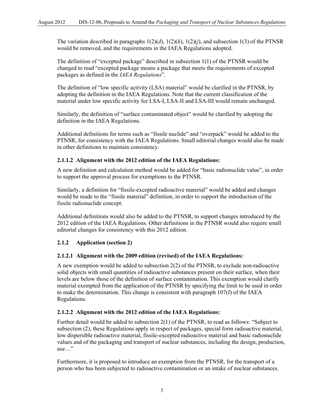<span id="page-8-0"></span>The variation described in paragraphs  $1(2)(d)$ ,  $1(2)(h)$ ,  $1(2)(f)$ , and subsection 1(3) of the PTNSR would be removed, and the requirements in the IAEA Regulations adopted.

The definition of "excepted package" described in subsection 1(1) of the PTNSR would be changed to read "excepted package means a package that meets the requirements of excepted packages as defined in the *IAEA Regulations*".

The definition of "low specific activity (LSA) material" would be clarified in the PTNSR, by adopting the definition in the IAEA Regulations. Note that the current classification of the material under low specific activity for LSA-I, LSA-II and LSA-III would remain unchanged.

Similarly, the definition of "surface contaminated object" would be clarified by adopting the definition in the IAEA Regulations.

Additional definitions for terms such as "fissile nuclide" and "overpack" would be added to the PTNSR, for consistency with the IAEA Regulations. Small editorial changes would also be made in other definitions to maintain consistency.

## **2.1.1.2 Alignment with the 2012 edition of the IAEA Regulations:**

A new definition and calculation method would be added for "basic radionuclide value", in order to support the approval process for exemptions to the PTNSR.

Similarly, a definition for "fissile-excepted radioactive material" would be added and changes would be made to the "fissile material" definition, in order to support the introduction of the fissile radionuclide concept.

Additional definitions would also be added to the PTNSR, to support changes introduced by the 2012 edition of the IAEA Regulations. Other definitions in the PTNSR would also require small editorial changes for consistency with this 2012 edition.

#### **2.1.2 Application (section 2)**

#### **2.1.2.1 Alignment with the 2009 edition (revised) of the IAEA Regulations:**

A new exemption would be added to subsection 2(2) of the PTNSR, to exclude non-radioactive solid objects with small quantities of radioactive substances present on their surface, when their levels are below those of the definition of surface contamination. This exemption would clarify material exempted from the application of the PTNSR by specifying the limit to be used in order to make the determination. This change is consistent with paragraph  $107(f)$  of the IAEA Regulations.

#### **2.1.2.2 Alignment with the 2012 edition of the IAEA Regulations:**

Further detail would be added to subsection 2(1) of the PTNSR, to read as follows: "Subject to subsection (2), these Regulations apply in respect of packages, special form radioactive material, low dispersible radioactive material, fissile-excepted radioactive material and basic radionuclide values and of the packaging and transport of nuclear substances, including the design, production, use…"

Furthermore, it is proposed to introduce an exemption from the PTNSR, for the transport of a person who has been subjected to radioactive contamination or an intake of nuclear substances.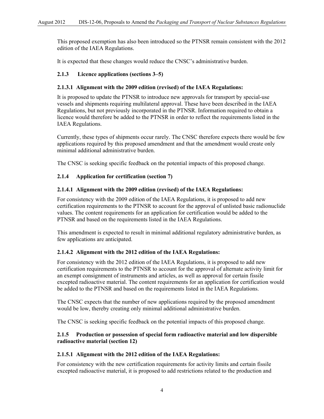<span id="page-9-0"></span>This proposed exemption has also been introduced so the PTNSR remain consistent with the 2012 edition of the IAEA Regulations.

It is expected that these changes would reduce the CNSC's administrative burden.

# **2.1.3 Licence applications (sections 3–5)**

# **2.1.3.1 Alignment with the 2009 edition (revised) of the IAEA Regulations:**

It is proposed to update the PTNSR to introduce new approvals for transport by special-use vessels and shipments requiring multilateral approval. These have been described in the IAEA Regulations, but not previously incorporated in the PTNSR. Information required to obtain a licence would therefore be added to the PTNSR in order to reflect the requirements listed in the IAEA Regulations.

Currently, these types of shipments occur rarely. The CNSC therefore expects there would be few applications required by this proposed amendment and that the amendment would create only minimal additional administrative burden.

The CNSC is seeking specific feedback on the potential impacts of this proposed change.

# **2.1.4 Application for certification (section 7)**

# **2.1.4.1 Alignment with the 2009 edition (revised) of the IAEA Regulations:**

For consistency with the 2009 edition of the IAEA Regulations, it is proposed to add new certification requirements to the PTNSR to account for the approval of unlisted basic radionuclide values. The content requirements for an application for certification would be added to the PTNSR and based on the requirements listed in the IAEA Regulations.

This amendment is expected to result in minimal additional regulatory administrative burden, as few applications are anticipated.

# **2.1.4.2 Alignment with the 2012 edition of the IAEA Regulations:**

For consistency with the 2012 edition of the IAEA Regulations, it is proposed to add new certification requirements to the PTNSR to account for the approval of alternate activity limit for an exempt consignment of instruments and articles, as well as approval for certain fissile excepted radioactive material. The content requirements for an application for certification would be added to the PTNSR and based on the requirements listed in the IAEA Regulations.

The CNSC expects that the number of new applications required by the proposed amendment would be low, thereby creating only minimal additional administrative burden.

The CNSC is seeking specific feedback on the potential impacts of this proposed change.

# **2.1.5 Production or possession of special form radioactive material and low dispersible radioactive material (section 12)**

# **2.1.5.1 Alignment with the 2012 edition of the IAEA Regulations:**

For consistency with the new certification requirements for activity limits and certain fissile excepted radioactive material, it is proposed to add restrictions related to the production and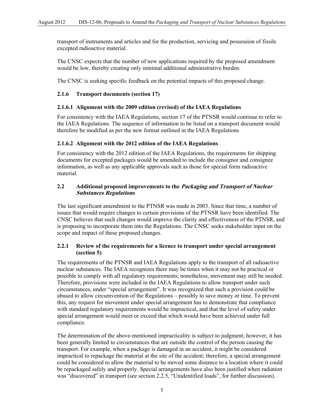<span id="page-10-0"></span>transport of instruments and articles and for the production, servicing and possession of fissile excepted radioactive material.

The CNSC expects that the number of new applications required by the proposed amendment would be low, thereby creating only minimal additional administrative burden.

The CNSC is seeking specific feedback on the potential impacts of this proposed change.

#### **2.1.6 Transport documents (section 17)**

#### **2.1.6.1 Alignment with the 2009 edition (revised) of the IAEA Regulations**

For consistency with the IAEA Regulations, section 17 of the PTNSR would continue to refer to the IAEA Regulations. The sequence of information to be listed on a transport document would therefore be modified as per the new format outlined in the IAEA Regulations

#### **2.1.6.2 Alignment with the 2012 edition of the IAEA Regulations**

For consistency with the 2012 edition of the IAEA Regulations, the requirements for shipping documents for excepted packages would be amended to include the consignor and consignee information, as well as any applicable approvals such as those for special form radioactive material.

#### **2.2 Additional proposed improvements to the Packaging and Transport of Nuclear Substances Regulations**

The last significant amendment to the PTNSR was made in 2003. Since that time, a number of issues that would require changes to certain provisions of the PTNSR have been identified. The CNSC believes that such changes would improve the clarity and effectiveness of the PTNSR, and is proposing to incorporate them into the Regulations. The CNSC seeks stakeholder input on the scope and impact of these proposed changes.

#### **2.2.1 Review of the requirements for a licence to transport under special arrangement (section 5)**

The requirements of the PTNSR and IAEA Regulations apply to the transport of all radioactive nuclear substances. The IAEA recognizes there may be times when it may not be practical or possible to comply with all regulatory requirements; nonetheless, movement may still be needed. Therefore, provisions were included in the IAEA Regulations to allow transport under such circumstances, under "special arrangement". It was recognized that such a provision could be abused to allow circumvention of the Regulations – possibly to save money or time. To prevent this, any request for movement under special arrangement has to demonstrate that compliance with standard regulatory requirements would be impractical, and that the level of safety under special arrangement would meet or exceed that which would have been achieved under full compliance.

The determination of the above-mentioned impracticality is subject to judgment; however, it has been generally limited to circumstances that are outside the control of the person causing the transport. For example, when a package is damaged in an accident, it might be considered impractical to repackage the material at the site of the accident; therefore, a special arrangement could be considered to allow the material to be moved some distance to a location where it could be repackaged safely and properly. Special arrangements have also been justified when radiation was "discovered" in transport (see section 2.2.5, "Unidentified loads", for further discussion).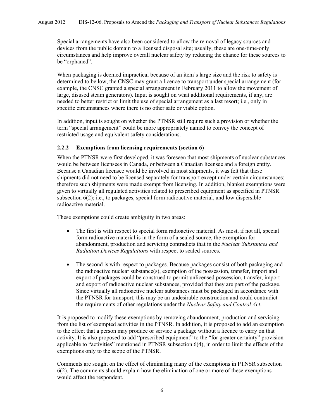<span id="page-11-0"></span>Special arrangements have also been considered to allow the removal of legacy sources and devices from the public domain to a licensed disposal site; usually, these are one-time-only circumstances and help improve overall nuclear safety by reducing the chance for these sources to be "orphaned".

When packaging is deemed impractical because of an item's large size and the risk to safety is determined to be low, the CNSC may grant a licence to transport under special arrangement (for example, the CNSC granted a special arrangement in February 2011 to allow the movement of large, disused steam generators). Input is sought on what additional requirements, if any, are needed to better restrict or limit the use of special arrangement as a last resort; i.e., only in specific circumstances where there is no other safe or viable option.

In addition, input is sought on whether the PTNSR still require such a provision or whether the term "special arrangement" could be more appropriately named to convey the concept of restricted usage and equivalent safety considerations.

#### **2.2.2 Exemptions from licensing requirements (section 6)**

When the PTNSR were first developed, it was foreseen that most shipments of nuclear substances would be between licensees in Canada, or between a Canadian licensee and a foreign entity. Because a Canadian licensee would be involved in most shipments, it was felt that these shipments did not need to be licensed separately for transport except under certain circumstances; therefore such shipments were made exempt from licensing. In addition, blanket exemptions were given to virtually all regulated activities related to prescribed equipment as specified in PTNSR subsection  $6(2)$ ; i.e., to packages, special form radioactive material, and low dispersible radioactive material.

These exemptions could create ambiguity in two areas:

- The first is with respect to special form radioactive material. As most, if not all, special form radioactive material is in the form of a sealed source, the exemption for abandonment, production and servicing contradicts that in the *Nuclear Substances and Radiation Devices Regulations* with respect to sealed sources.
- The second is with respect to packages. Because packages consist of both packaging and the radioactive nuclear substance(s), exemption of the possession, transfer, import and export of packages could be construed to permit unlicensed possession, transfer, import and export of radioactive nuclear substances, provided that they are part of the package. Since virtually all radioactive nuclear substances must be packaged in accordance with the PTNSR for transport, this may be an undesirable construction and could contradict the requirements of other regulations under the *Nuclear Safety and Control Act*.

It is proposed to modify these exemptions by removing abandonment, production and servicing from the list of exempted activities in the PTNSR. In addition, it is proposed to add an exemption to the effect that a person may produce or service a package without a licence to carry on that activity. It is also proposed to add "prescribed equipment" to the "for greater certainty" provision applicable to "activities" mentioned in PTNSR subsection 6(4), in order to limit the effects of the exemptions only to the scope of the PTNSR.

Comments are sought on the effect of eliminating many of the exemptions in PTNSR subsection 6(2). The comments should explain how the elimination of one or more of these exemptions would affect the respondent.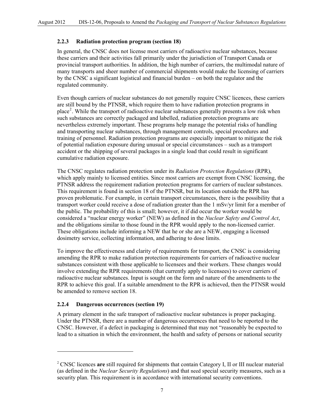## <span id="page-12-0"></span>**2.2.3 Radiation protection program (section 18)**

In general, the CNSC does not license most carriers of radioactive nuclear substances, because these carriers and their activities fall primarily under the jurisdiction of Transport Canada or provincial transport authorities. In addition, the high number of carriers, the multimodal nature of many transports and sheer number of commercial shipments would make the licensing of carriers by the CNSC a significant logistical and financial burden – on both the regulator and the regulated community.

Even though carriers of nuclear substances do not generally require CNSC licences, these carriers are still bound by the PTNSR, which require them to have radiation protection programs in place<sup>[2](#page-12-1)</sup>. While the transport of radioactive nuclear substances generally presents a low risk when such substances are correctly packaged and labelled, radiation protection programs are nevertheless extremely important. These programs help manage the potential risks of handling and transporting nuclear substances, through management controls, special procedures and training of personnel. Radiation protection programs are especially important to mitigate the risk of potential radiation exposure during unusual or special circumstances – such as a transport accident or the shipping of several packages in a single load that could result in significant cumulative radiation exposure.

The CNSC regulates radiation protection under its *Radiation Protection Regulations* (RPR), which apply mainly to licensed entities. Since most carriers are exempt from CNSC licensing, the PTNSR address the requirement radiation protection programs for carriers of nuclear substances. This requirement is found in section 18 of the PTNSR, but its location outside the RPR has proven problematic. For example, in certain transport circumstances, there is the possibility that a transport worker could receive a dose of radiation greater than the 1 mSv/yr limit for a member of the public. The probability of this is small; however, it if did occur the worker would be considered a "nuclear energy worker" (NEW) as defined in the *Nuclear Safety and Control Act*, and the obligations similar to those found in the RPR would apply to the non-licensed carrier. These obligations include informing a NEW that he or she are a NEW, engaging a licensed dosimetry service, collecting information, and adhering to dose limits.

To improve the effectiveness and clarity of requirements for transport, the CNSC is considering amending the RPR to make radiation protection requirements for carriers of radioactive nuclear substances consistent with those applicable to licensees and their workers. These changes would involve extending the RPR requirements (that currently apply to licensees) to cover carriers of radioactive nuclear substances. Input is sought on the form and nature of the amendments to the RPR to achieve this goal. If a suitable amendment to the RPR is achieved, then the PTNSR would be amended to remove section 18.

#### **2.2.4 Dangerous occurrences (section 19)**

-

A primary element in the safe transport of radioactive nuclear substances is proper packaging. Under the PTNSR, there are a number of dangerous occurrences that need to be reported to the CNSC. However, if a defect in packaging is determined that may not "reasonably be expected to lead to a situation in which the environment, the health and safety of persons or national security

<span id="page-12-1"></span><sup>2</sup> CNSC licences **are** still required for shipments that contain Category I, II or III nuclear material (as defined in the *Nuclear Security Regulations*) and that need special security measures, such as a security plan. This requirement is in accordance with international security conventions.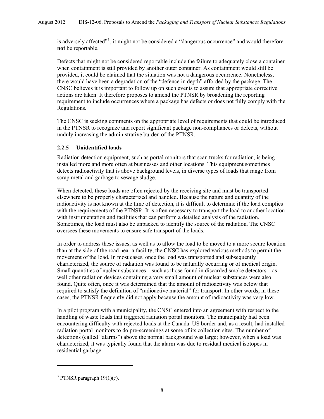<span id="page-13-0"></span>is adversely affected"<sup>[3](#page-13-1)</sup>, it might not be considered a "dangerous occurrence" and would therefore **not** be reportable.

Defects that might not be considered reportable include the failure to adequately close a container when containment is still provided by another outer container. As containment would still be provided, it could be claimed that the situation was not a dangerous occurrence. Nonetheless, there would have been a degradation of the "defence in depth" afforded by the package. The CNSC believes it is important to follow up on such events to assure that appropriate corrective actions are taken. It therefore proposes to amend the PTNSR by broadening the reporting requirement to include occurrences where a package has defects or does not fully comply with the Regulations.

The CNSC is seeking comments on the appropriate level of requirements that could be introduced in the PTNSR to recognize and report significant package non-compliances or defects, without unduly increasing the administrative burden of the PTNSR.

## **2.2.5 Unidentified loads**

Radiation detection equipment, such as portal monitors that scan trucks for radiation, is being installed more and more often at businesses and other locations. This equipment sometimes detects radioactivity that is above background levels, in diverse types of loads that range from scrap metal and garbage to sewage sludge.

When detected, these loads are often rejected by the receiving site and must be transported elsewhere to be properly characterized and handled. Because the nature and quantity of the radioactivity is not known at the time of detection, it is difficult to determine if the load complies with the requirements of the PTNSR. It is often necessary to transport the load to another location with instrumentation and facilities that can perform a detailed analysis of the radiation. Sometimes, the load must also be unpacked to identify the source of the radiation. The CNSC oversees these movements to ensure safe transport of the loads.

In order to address these issues, as well as to allow the load to be moved to a more secure location than at the side of the road near a facility, the CNSC has explored various methods to permit the movement of the load. In most cases, once the load was transported and subsequently characterized, the source of radiation was found to be naturally occurring or of medical origin. Small quantities of nuclear substances – such as those found in discarded smoke detectors – as well other radiation devices containing a very small amount of nuclear substances were also found. Quite often, once it was determined that the amount of radioactivity was below that required to satisfy the definition of "radioactive material" for transport. In other words, in these cases, the PTNSR frequently did not apply because the amount of radioactivity was very low.

In a pilot program with a municipality, the CNSC entered into an agreement with respect to the handling of waste loads that triggered radiation portal monitors. The municipality had been encountering difficulty with rejected loads at the Canada–US border and, as a result, had installed radiation portal monitors to do pre-screenings at some of its collection sites. The number of detections (called "alarms") above the normal background was large; however, when a load was characterized, it was typically found that the alarm was due to residual medical isotopes in residential garbage.

l

<span id="page-13-1"></span><sup>&</sup>lt;sup>3</sup> PTNSR paragraph  $19(1)(c)$ .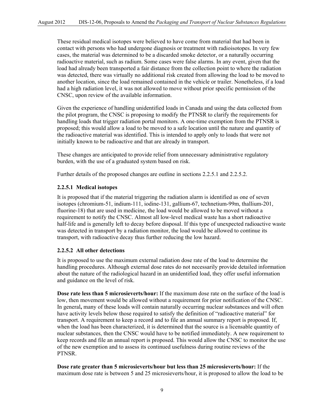These residual medical isotopes were believed to have come from material that had been in contact with persons who had undergone diagnosis or treatment with radioisotopes. In very few cases, the material was determined to be a discarded smoke detector, or a naturally occurring radioactive material, such as radium. Some cases were false alarms. In any event, given that the load had already been transported a fair distance from the collection point to where the radiation was detected, there was virtually no additional risk created from allowing the load to be moved to another location, since the load remained contained in the vehicle or trailer. Nonetheless, if a load had a high radiation level, it was not allowed to move without prior specific permission of the CNSC, upon review of the available information.

Given the experience of handling unidentified loads in Canada and using the data collected from the pilot program, the CNSC is proposing to modify the PTNSR to clarify the requirements for handling loads that trigger radiation portal monitors. A one-time exemption from the PTNSR is proposed; this would allow a load to be moved to a safe location until the nature and quantity of the radioactive material was identified. This is intended to apply only to loads that were not initially known to be radioactive and that are already in transport.

These changes are anticipated to provide relief from unnecessary administrative regulatory burden, with the use of a graduated system based on risk.

Further details of the proposed changes are outline in sections 2.2.5.1 and 2.2.5.2.

## **2.2.5.1 Medical isotopes**

It is proposed that if the material triggering the radiation alarm is identified as one of seven isotopes (chromium-51, indium-111, iodine-131, gallium-67, technetium-99m, thallium-201, fluorine-18) that are used in medicine, the load would be allowed to be moved without a requirement to notify the CNSC. Almost all low-level medical waste has a short radioactive half-life and is generally left to decay before disposal. If this type of unexpected radioactive waste was detected in transport by a radiation monitor, the load would be allowed to continue its transport, with radioactive decay thus further reducing the low hazard.

#### **2.2.5.2 All other detections**

It is proposed to use the maximum external radiation dose rate of the load to determine the handling procedures. Although external dose rates do not necessarily provide detailed information about the nature of the radiological hazard in an unidentified load, they offer useful information and guidance on the level of risk.

**Dose rate less than 5 microsieverts/hour:** If the maximum dose rate on the surface of the load is low, then movement would be allowed without a requirement for prior notification of the CNSC. In general**,** many of these loads will contain naturally occurring nuclear substances and will often have activity levels below those required to satisfy the definition of "radioactive material" for transport. A requirement to keep a record and to file an annual summary report is proposed. If, when the load has been characterized, it is determined that the source is a licensable quantity of nuclear substances, then the CNSC would have to be notified immediately. A new requirement to keep records and file an annual report is proposed. This would allow the CNSC to monitor the use of the new exemption and to assess its continued usefulness during routine reviews of the PTNSR.

**Dose rate greater than 5 microsieverts/hour but less than 25 microsieverts/hour:** If the maximum dose rate is between 5 and 25 microsieverts/hour, it is proposed to allow the load to be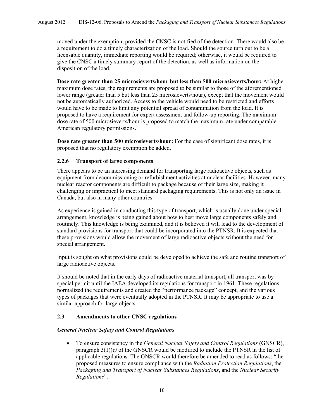<span id="page-15-0"></span>moved under the exemption, provided the CNSC is notified of the detection. There would also be a requirement to do a timely characterization of the load. Should the source turn out to be a licensable quantity, immediate reporting would be required; otherwise, it would be required to give the CNSC a timely summary report of the detection, as well as information on the disposition of the load.

**Dose rate greater than 25 microsieverts/hour but less than 500 microsieverts/hour:** At higher maximum dose rates, the requirements are proposed to be similar to those of the aforementioned lower range (greater than 5 but less than 25 microsieverts/hour), except that the movement would not be automatically authorized. Access to the vehicle would need to be restricted and efforts would have to be made to limit any potential spread of contamination from the load. It is proposed to have a requirement for expert assessment and follow-up reporting. The maximum dose rate of 500 micro**s**ieverts/hour is proposed to match the maximum rate under comparable American regulatory permissions.

**Dose rate greater than 500 microsieverts/hour:** For the case of significant dose rates, it is proposed that no regulatory exemption be added.

#### **2.2.6 Transport of large components**

There appears to be an increasing demand for transporting large radioactive objects, such as equipment from decommissioning or refurbishment activities at nuclear facilities. However, many nuclear reactor components are difficult to package because of their large size, making it challenging or impractical to meet standard packaging requirements. This is not only an issue in Canada, but also in many other countries.

As experience is gained in conducting this type of transport, which is usually done under special arrangement, knowledge is being gained about how to best move large components safely and routinely. This knowledge is being examined, and it is believed it will lead to the development of standard provisions for transport that could be incorporated into the PTNSR. It is expected that these provisions would allow the movement of large radioactive objects without the need for special arrangement.

Input is sought on what provisions could be developed to achieve the safe and routine transport of large radioactive objects.

It should be noted that in the early days of radioactive material transport, all transport was by special permit until the IAEA developed its regulations for transport in 1961. These regulations normalized the requirements and created the "performance package" concept, and the various types of packages that were eventually adopted in the PTNSR. It may be appropriate to use a similar approach for large objects.

#### **2.3 Amendments to other CNSC regulations**

#### *General Nuclear Safety and Control Regulations*

• To ensure consistency in the *General Nuclear Safety and Control Regulations* (GNSCR), paragraph 3(1)(*e)* of the GNSCR would be modified to include the PTNSR in the list of applicable regulations. The GNSCR would therefore be amended to read as follows: "the proposed measures to ensure compliance with the *Radiation Protection Regulations*, the *Packaging and Transport of Nuclear Substances Regulations*, and the *Nuclear Security Regulations*".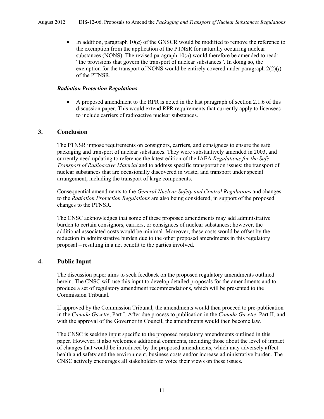<span id="page-16-0"></span>• In addition, paragraph 10(*a*) of the GNSCR would be modified to remove the reference to the exemption from the application of the PTNSR for naturally occurring nuclear substances (NONS). The revised paragraph  $10(a)$  would therefore be amended to read: "the provisions that govern the transport of nuclear substances". In doing so, the exemption for the transport of NONS would be entirely covered under paragraph  $2(2)(*i*)$ of the PTNSR.

#### *Radiation Protection Regulations*

• A proposed amendment to the RPR is noted in the last paragraph of section 2.1.6 of this discussion paper. This would extend RPR requirements that currently apply to licensees to include carriers of radioactive nuclear substances.

## **3. Conclusion**

The PTNSR impose requirements on consignors, carriers, and consignees to ensure the safe packaging and transport of nuclear substances. They were substantively amended in 2003, and currently need updating to reference the latest edition of the IAEA *Regulations for the Safe Transport of Radioactive Material* and to address specific transportation issues: the transport of nuclear substances that are occasionally discovered in waste; and transport under special arrangement, including the transport of large components.

Consequential amendments to the *General Nuclear Safety and Control Regulations* and changes to the *Radiation Protection Regulations* are also being considered, in support of the proposed changes to the PTNSR.

The CNSC acknowledges that some of these proposed amendments may add administrative burden to certain consignors, carriers, or consignees of nuclear substances; however, the additional associated costs would be minimal. Moreover, these costs would be offset by the reduction in administrative burden due to the other proposed amendments in this regulatory proposal – resulting in a net benefit to the parties involved.

# **4. Public Input**

The discussion paper aims to seek feedback on the proposed regulatory amendments outlined herein. The CNSC will use this input to develop detailed proposals for the amendments and to produce a set of regulatory amendment recommendations, which will be presented to the Commission Tribunal.

If approved by the Commission Tribunal, the amendments would then proceed to pre-publication in the *Canada Gazette*, Part I. After due process to publication in the *Canada Gazette*, Part II, and with the approval of the Governor in Council, the amendments would then become law.

The CNSC is seeking input specific to the proposed regulatory amendments outlined in this paper. However, it also welcomes additional comments, including those about the level of impact of changes that would be introduced by the proposed amendments, which may adversely affect health and safety and the environment, business costs and/or increase administrative burden. The CNSC actively encourages all stakeholders to voice their views on these issues.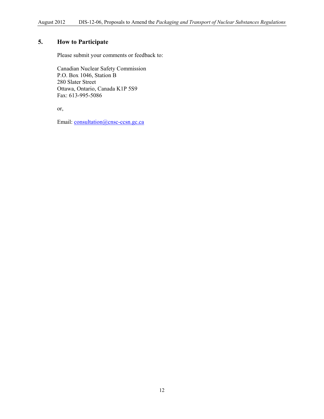# <span id="page-17-0"></span>**5. How to Participate**

Please submit your comments or feedback to:

Canadian Nuclear Safety Commission P.O. Box 1046, Station B 280 Slater Street Ottawa, Ontario, Canada K1P 5S9 Fax: 613-995-5086

or,

Email: [consultation@cnsc-ccsn.gc.ca](mailto:consultation@cnsc-ccsn.gc.ca)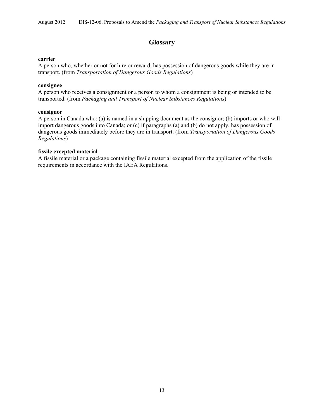# **Glossary**

#### <span id="page-18-0"></span>**carrier**

A person who, whether or not for hire or reward, has possession of dangerous goods while they are in transport. (from *Transportation of Dangerous Goods Regulations*)

# **consignee**

A person who receives a consignment or a person to whom a consignment is being or intended to be transported. (from *Packaging and Transport of Nuclear Substances Regulations*)

## **consignor**

A person in Canada who: (a) is named in a shipping document as the consignor; (b) imports or who will import dangerous goods into Canada; or (c) if paragraphs (a) and (b) do not apply, has possession of dangerous goods immediately before they are in transport. (from *Transportation of Dangerous Goods Regulations*)

## **fissile excepted material**

A fissile material or a package containing fissile material excepted from the application of the fissile requirements in accordance with the IAEA Regulations.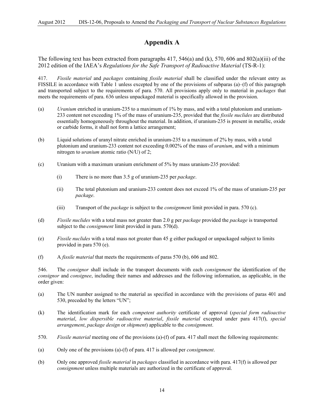# **Appendix A**

<span id="page-19-0"></span>The following text has been extracted from paragraphs 417, 546(a) and (k), 570, 606 and 802(a)(iii) of the 2012 edition of the IAEA's *Regulations for the Safe Transport of Radioactive Material* (TS-R-1):

417. *Fissile material* and *packages* containing *fissile material* shall be classified under the relevant entry as FISSILE in accordance with Table 1 unless excepted by one of the provisions of subparas (a)–(f) of this paragraph and transported subject to the requirements of para. 570. All provisions apply only to material in *packages* that meets the requirements of para. 636 unless unpackaged material is specifically allowed in the provision.

- (a) *Uranium* enriched in uranium-235 to a maximum of 1% by mass, and with a total plutonium and uranium-233 content not exceeding 1% of the mass of uranium-235, provided that the *fissile nuclides* are distributed essentially homogeneously throughout the material. In addition, if uranium-235 is present in metallic, oxide or carbide forms, it shall not form a lattice arrangement;
- (b) Liquid solutions of uranyl nitrate enriched in uranium-235 to a maximum of 2% by mass, with a total plutonium and uranium-233 content not exceeding 0.002% of the mass of *uranium*, and with a minimum nitrogen to *uranium* atomic ratio (N/U) of 2;
- (c) Uranium with a maximum uranium enrichment of 5% by mass uranium-235 provided:
	- (i) There is no more than 3.5 g of uranium-235 per *package*.
	- (ii) The total plutonium and uranium-233 content does not exceed 1% of the mass of uranium-235 per *package*.
	- (iii) Transport of the *package* is subject to the *consignment* limit provided in para. 570 (c).
- (d) *Fissile nuclides* with a total mass not greater than 2.0 g per *package* provided the *package* is transported subject to the *consignment* limit provided in para. 570(d).
- (e) *Fissile nuclides* with a total mass not greater than 45 g either packaged or unpackaged subject to limits provided in para 570 (e).
- (f) A *fissile material* that meets the requirements of paras 570 (b), 606 and 802.

546. The *consignor* shall include in the transport documents with each *consignment* the identification of the *consignor* and *consignee*, including their names and addresses and the following information, as applicable, in the order given:

- (a) The UN number assigned to the material as specified in accordance with the provisions of paras 401 and 530, preceded by the letters "UN";
- (k) The identification mark for each *competent authority* certificate of approval (*special form radioactive material*, *low dispersible radioactive material*, *fissile material* excepted under para 417(f), *special arrangement*, *package design* or *shipment*) applicable to the *consignment*.
- 570. *Fissile material* meeting one of the provisions (a)-(f) of para. 417 shall meet the following requirements:
- (a) Only one of the provisions (a)-(f) of para. 417 is allowed per *consignment*.
- (b) Only one approved *fissile material* in *packages* classified in accordance with para. 417(f) is allowed per *consignment* unless multiple materials are authorized in the certificate of approval.